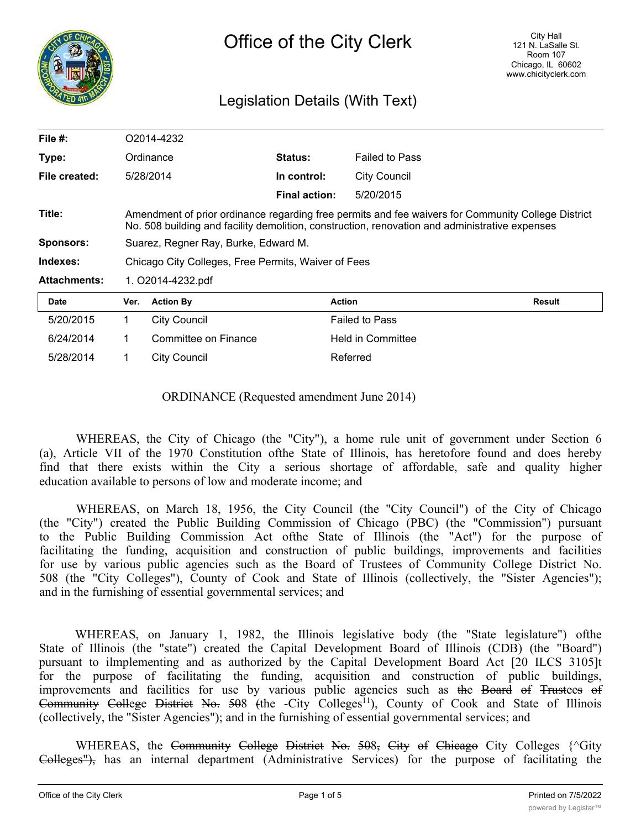

# Legislation Details (With Text)

| File $#$ :          | O2014-4232                                                                                                                                                                                           |                      |                      |                       |               |
|---------------------|------------------------------------------------------------------------------------------------------------------------------------------------------------------------------------------------------|----------------------|----------------------|-----------------------|---------------|
| Type:               | Ordinance                                                                                                                                                                                            |                      | Status:              | <b>Failed to Pass</b> |               |
| File created:       |                                                                                                                                                                                                      | 5/28/2014            | In control:          | <b>City Council</b>   |               |
|                     |                                                                                                                                                                                                      |                      | <b>Final action:</b> | 5/20/2015             |               |
| Title:              | Amendment of prior ordinance regarding free permits and fee waivers for Community College District<br>No. 508 building and facility demolition, construction, renovation and administrative expenses |                      |                      |                       |               |
| Sponsors:           | Suarez, Regner Ray, Burke, Edward M.                                                                                                                                                                 |                      |                      |                       |               |
| Indexes:            | Chicago City Colleges, Free Permits, Waiver of Fees                                                                                                                                                  |                      |                      |                       |               |
| <b>Attachments:</b> | 1. O2014-4232.pdf                                                                                                                                                                                    |                      |                      |                       |               |
| <b>Date</b>         | Ver.                                                                                                                                                                                                 | <b>Action By</b>     | <b>Action</b>        |                       | <b>Result</b> |
| 5/20/2015           | 1.                                                                                                                                                                                                   | <b>City Council</b>  |                      | <b>Failed to Pass</b> |               |
| 6/24/2014           | 1                                                                                                                                                                                                    | Committee on Finance |                      | Held in Committee     |               |
| 5/28/2014           |                                                                                                                                                                                                      | <b>City Council</b>  |                      | Referred              |               |

ORDINANCE (Requested amendment June 2014)

WHEREAS, the City of Chicago (the "City"), a home rule unit of government under Section 6 (a), Article VII of the 1970 Constitution ofthe State of Illinois, has heretofore found and does hereby find that there exists within the City a serious shortage of affordable, safe and quality higher education available to persons of low and moderate income; and

WHEREAS, on March 18, 1956, the City Council (the "City Council") of the City of Chicago (the "City") created the Public Building Commission of Chicago (PBC) (the "Commission") pursuant to the Public Building Commission Act ofthe State of Illinois (the "Act") for the purpose of facilitating the funding, acquisition and construction of public buildings, improvements and facilities for use by various public agencies such as the Board of Trustees of Community College District No. 508 (the "City Colleges"), County of Cook and State of Illinois (collectively, the "Sister Agencies"); and in the furnishing of essential governmental services; and

WHEREAS, on January 1, 1982, the Illinois legislative body (the "State legislature") ofthe State of Illinois (the "state") created the Capital Development Board of Illinois (CDB) (the "Board") pursuant to ilmplementing and as authorized by the Capital Development Board Act [20 ILCS 3105]t for the purpose of facilitating the funding, acquisition and construction of public buildings, improvements and facilities for use by various public agencies such as the Board of Trustees of Community College District No.  $508$  (the -City Colleges<sup>11</sup>), County of Cook and State of Illinois (collectively, the "Sister Agencies"); and in the furnishing of essential governmental services; and

WHEREAS, the Community College District No.  $508$ , City of Chicago City Colleges  $\{\text{C}$ Gity Colleges"), has an internal department (Administrative Services) for the purpose of facilitating the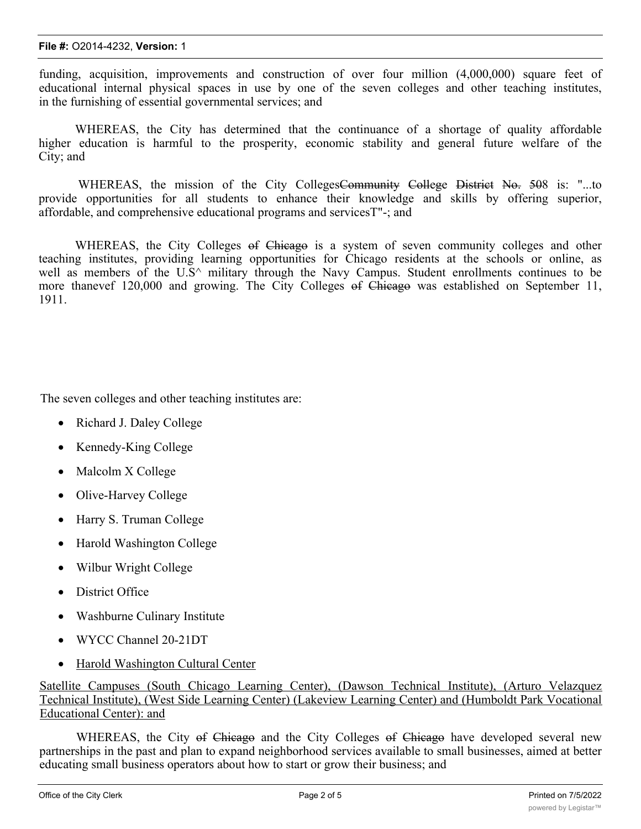#### **File #:** O2014-4232, **Version:** 1

funding, acquisition, improvements and construction of over four million (4,000,000) square feet of educational internal physical spaces in use by one of the seven colleges and other teaching institutes, in the furnishing of essential governmental services; and

WHEREAS, the City has determined that the continuance of a shortage of quality affordable higher education is harmful to the prosperity, economic stability and general future welfare of the City; and

WHEREAS, the mission of the City CollegesCommunity College District No. 508 is: "...to provide opportunities for all students to enhance their knowledge and skills by offering superior, affordable, and comprehensive educational programs and servicesT"-; and

WHEREAS, the City Colleges of Chicago is a system of seven community colleges and other teaching institutes, providing learning opportunities for Chicago residents at the schools or online, as well as members of the  $U.S^{\wedge}$  military through the Navy Campus. Student enrollments continues to be more thanevef 120,000 and growing. The City Colleges of Chicago was established on September 11, 1911.

The seven colleges and other teaching institutes are:

- Richard J. Daley College
- Kennedy-King College
- Malcolm X College
- Olive-Harvey College
- Harry S. Truman College
- · Harold Washington College
- Wilbur Wright College
- District Office
- Washburne Culinary Institute
- · WYCC Channel 20-21DT
- Harold Washington Cultural Center

Satellite Campuses (South Chicago Learning Center), (Dawson Technical Institute), (Arturo Velazquez Technical Institute), (West Side Learning Center) (Lakeview Learning Center) and (Humboldt Park Vocational Educational Center): and

WHEREAS, the City of Chicago and the City Colleges of Chicago have developed several new partnerships in the past and plan to expand neighborhood services available to small businesses, aimed at better educating small business operators about how to start or grow their business; and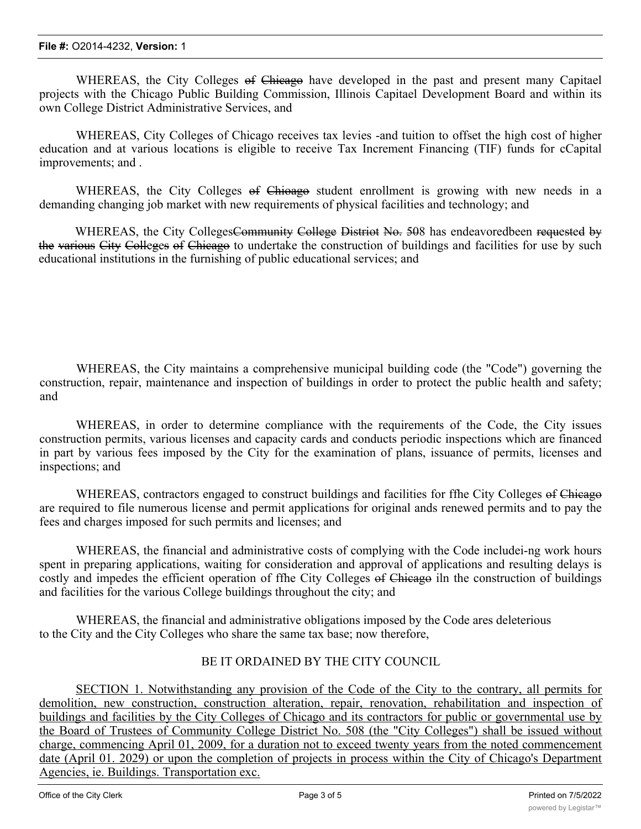WHEREAS, the City Colleges of Chicago have developed in the past and present many Capitael projects with the Chicago Public Building Commission, Illinois Capitael Development Board and within its own College District Administrative Services, and

WHEREAS, City Colleges of Chicago receives tax levies -and tuition to offset the high cost of higher education and at various locations is eligible to receive Tax Increment Financing (TIF) funds for cCapital improvements; and .

WHEREAS, the City Colleges of Chioago student enrollment is growing with new needs in a demanding changing job market with new requirements of physical facilities and technology; and

WHEREAS, the City Colleges<del>Community College Distriot No. 50</del>8 has endeavoredbeen requested by the various City Colleges of Chicago to undertake the construction of buildings and facilities for use by such educational institutions in the furnishing of public educational services; and

WHEREAS, the City maintains a comprehensive municipal building code (the "Code") governing the construction, repair, maintenance and inspection of buildings in order to protect the public health and safety; and

WHEREAS, in order to determine compliance with the requirements of the Code, the City issues construction permits, various licenses and capacity cards and conducts periodic inspections which are financed in part by various fees imposed by the City for the examination of plans, issuance of permits, licenses and inspections; and

WHEREAS, contractors engaged to construct buildings and facilities for ffhe City Colleges of Chicago are required to file numerous license and permit applications for original ands renewed permits and to pay the fees and charges imposed for such permits and licenses; and

WHEREAS, the financial and administrative costs of complying with the Code includei-ng work hours spent in preparing applications, waiting for consideration and approval of applications and resulting delays is costly and impedes the efficient operation of ffhe City Colleges of Chicago iln the construction of buildings and facilities for the various College buildings throughout the city; and

WHEREAS, the financial and administrative obligations imposed by the Code ares deleterious to the City and the City Colleges who share the same tax base; now therefore,

# BE IT ORDAINED BY THE CITY COUNCIL

SECTION 1. Notwithstanding any provision of the Code of the City to the contrary, all permits for demolition, new construction, construction alteration, repair, renovation, rehabilitation and inspection of buildings and facilities by the City Colleges of Chicago and its contractors for public or governmental use by the Board of Trustees of Community College District No. 508 (the "City Colleges") shall be issued without charge, commencing April 01, 2009, for a duration not to exceed twenty years from the noted commencement date (April 01. 2029) or upon the completion of projects in process within the City of Chicago's Department Agencies, ie. Buildings. Transportation exc.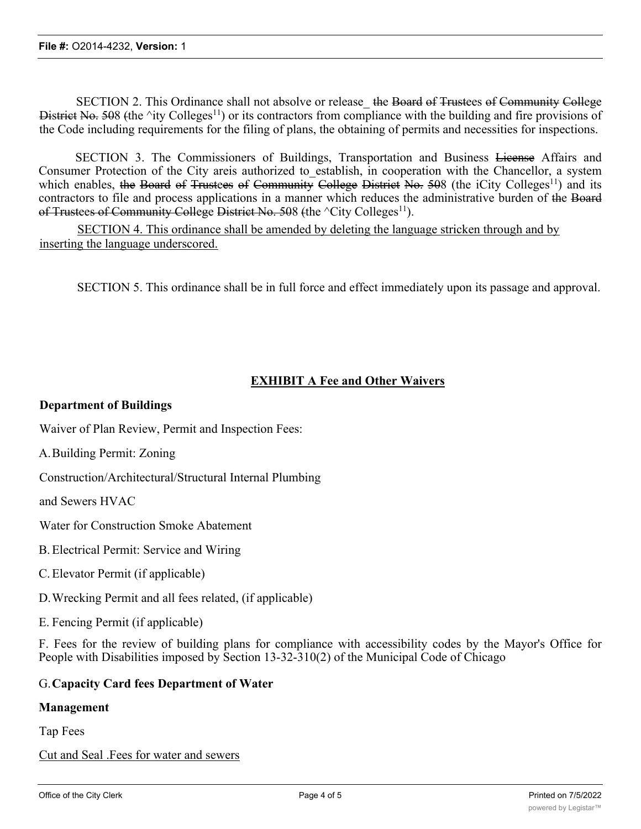SECTION 2. This Ordinance shall not absolve or release the Board of Trustees of Community College District No. 508 (the  $\text{ity College}^{11}$ ) or its contractors from compliance with the building and fire provisions of the Code including requirements for the filing of plans, the obtaining of permits and necessities for inspections.

SECTION 3. The Commissioners of Buildings, Transportation and Business License Affairs and Consumer Protection of the City areis authorized to\_establish, in cooperation with the Chancellor, a system which enables, the Board of Trustees of Community College District No. 508 (the iCity Colleges<sup>11</sup>) and its contractors to file and process applications in a manner which reduces the administrative burden of the Board of Trustees of Community College District No. 508 (the  $\textdegree$ City Colleges<sup>11</sup>).

SECTION 4. This ordinance shall be amended by deleting the language stricken through and by inserting the language underscored.

SECTION 5. This ordinance shall be in full force and effect immediately upon its passage and approval.

## **EXHIBIT A Fee and Other Waivers**

### **Department of Buildings**

Waiver of Plan Review, Permit and Inspection Fees:

A.Building Permit: Zoning

Construction/Architectural/Structural Internal Plumbing

and Sewers HVAC

Water for Construction Smoke Abatement

- B.Electrical Permit: Service and Wiring
- C.Elevator Permit (if applicable)
- D.Wrecking Permit and all fees related, (if applicable)

E. Fencing Permit (if applicable)

F. Fees for the review of building plans for compliance with accessibility codes by the Mayor's Office for People with Disabilities imposed by Section 13-32-310(2) of the Municipal Code of Chicago

#### G.**Capacity Card fees Department of Water**

#### **Management**

Tap Fees

Cut and Seal .Fees for water and sewers